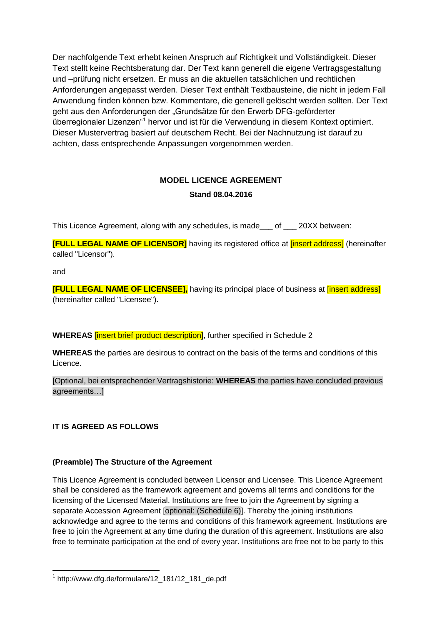Der nachfolgende Text erhebt keinen Anspruch auf Richtigkeit und Vollständigkeit. Dieser Text stellt keine Rechtsberatung dar. Der Text kann generell die eigene Vertragsgestaltung und –prüfung nicht ersetzen. Er muss an die aktuellen tatsächlichen und rechtlichen Anforderungen angepasst werden. Dieser Text enthält Textbausteine, die nicht in jedem Fall Anwendung finden können bzw. Kommentare, die generell gelöscht werden sollten. Der Text geht aus den Anforderungen der "Grundsätze für den Erwerb DFG-geförderter überregionaler Lizenzen"<sup>1</sup> hervor und ist für die Verwendung in diesem Kontext optimiert. Dieser Mustervertrag basiert auf deutschem Recht. Bei der Nachnutzung ist darauf zu achten, dass entsprechende Anpassungen vorgenommen werden.

## **MODEL LICENCE AGREEMENT**

## **Stand 08.04.2016**

This Licence Agreement, along with any schedules, is made\_\_\_ of \_\_\_ 20XX between:

**[FULL LEGAL NAME OF LICENSOR]** having its registered office at **linsert address]** (hereinafter called "Licensor").

and

**.** 

**[FULL LEGAL NAME OF LICENSEE]**, having its principal place of business at *linsert address*] (hereinafter called "Licensee").

**WHEREAS** [insert brief product description], further specified in Schedule 2

**WHEREAS** the parties are desirous to contract on the basis of the terms and conditions of this Licence.

[Optional, bei entsprechender Vertragshistorie: **WHEREAS** the parties have concluded previous agreements…]

## **IT IS AGREED AS FOLLOWS**

## **(Preamble) The Structure of the Agreement**

This Licence Agreement is concluded between Licensor and Licensee. This Licence Agreement shall be considered as the framework agreement and governs all terms and conditions for the licensing of the Licensed Material. Institutions are free to join the Agreement by signing a separate Accession Agreement [optional: (Schedule 6)]. Thereby the joining institutions acknowledge and agree to the terms and conditions of this framework agreement. Institutions are free to join the Agreement at any time during the duration of this agreement. Institutions are also free to terminate participation at the end of every year. Institutions are free not to be party to this

<sup>1</sup> http://www.dfg.de/formulare/12\_181/12\_181\_de.pdf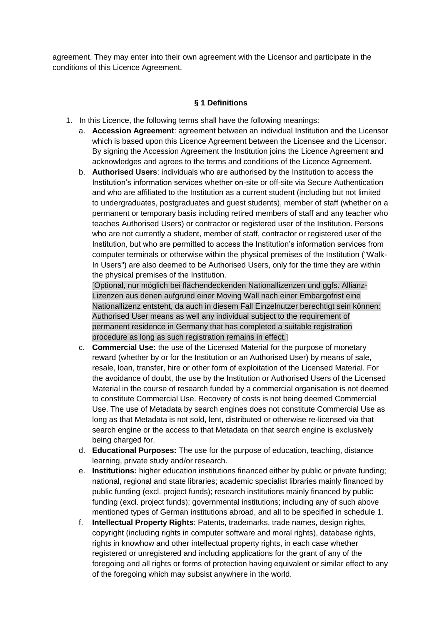agreement. They may enter into their own agreement with the Licensor and participate in the conditions of this Licence Agreement.

## **§ 1 Definitions**

- 1. In this Licence, the following terms shall have the following meanings:
	- a. **Accession Agreement**: agreement between an individual Institution and the Licensor which is based upon this Licence Agreement between the Licensee and the Licensor. By signing the Accession Agreement the Institution joins the Licence Agreement and acknowledges and agrees to the terms and conditions of the Licence Agreement.
	- b. **Authorised Users**: individuals who are authorised by the Institution to access the Institution's information services whether on-site or off-site via Secure Authentication and who are affiliated to the Institution as a current student (including but not limited to undergraduates, postgraduates and guest students), member of staff (whether on a permanent or temporary basis including retired members of staff and any teacher who teaches Authorised Users) or contractor or registered user of the Institution. Persons who are not currently a student, member of staff, contractor or registered user of the Institution, but who are permitted to access the Institution's information services from computer terminals or otherwise within the physical premises of the Institution ("Walk-In Users") are also deemed to be Authorised Users, only for the time they are within the physical premises of the Institution.

[Optional, nur möglich bei flächendeckenden Nationallizenzen und ggfs. Allianz-Lizenzen aus denen aufgrund einer Moving Wall nach einer Embargofrist eine Nationallizenz entsteht, da auch in diesem Fall Einzelnutzer berechtigt sein können: Authorised User means as well any individual subject to the requirement of permanent residence in Germany that has completed a suitable registration procedure as long as such registration remains in effect.]

- c. **Commercial Use:** the use of the Licensed Material for the purpose of monetary reward (whether by or for the Institution or an Authorised User) by means of sale, resale, loan, transfer, hire or other form of exploitation of the Licensed Material. For the avoidance of doubt, the use by the Institution or Authorised Users of the Licensed Material in the course of research funded by a commercial organisation is not deemed to constitute Commercial Use. Recovery of costs is not being deemed Commercial Use. The use of Metadata by search engines does not constitute Commercial Use as long as that Metadata is not sold, lent, distributed or otherwise re-licensed via that search engine or the access to that Metadata on that search engine is exclusively being charged for.
- d. **Educational Purposes:** The use for the purpose of education, teaching, distance learning, private study and/or research.
- e. **Institutions:** higher education institutions financed either by public or private funding; national, regional and state libraries; academic specialist libraries mainly financed by public funding (excl. project funds); research institutions mainly financed by public funding (excl. project funds); governmental institutions; including any of such above mentioned types of German institutions abroad, and all to be specified in schedule 1.
- f. **Intellectual Property Rights**: Patents, trademarks, trade names, design rights, copyright (including rights in computer software and moral rights), database rights, rights in knowhow and other intellectual property rights, in each case whether registered or unregistered and including applications for the grant of any of the foregoing and all rights or forms of protection having equivalent or similar effect to any of the foregoing which may subsist anywhere in the world.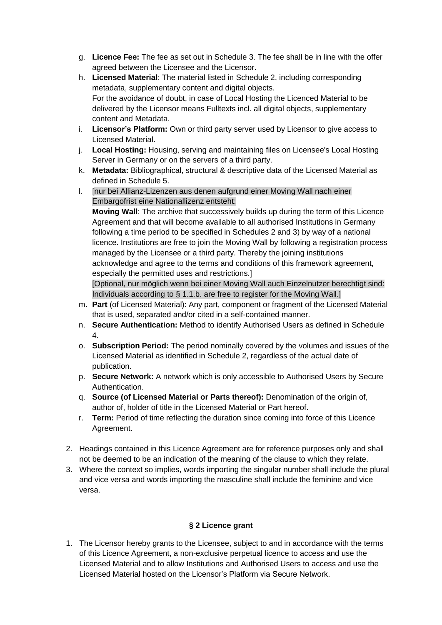- g. **Licence Fee:** The fee as set out in Schedule 3. The fee shall be in line with the offer agreed between the Licensee and the Licensor.
- h. **Licensed Material**: The material listed in Schedule 2, including corresponding metadata, supplementary content and digital objects. For the avoidance of doubt, in case of Local Hosting the Licenced Material to be delivered by the Licensor means Fulltexts incl. all digital objects, supplementary content and Metadata.
- i. **Licensor's Platform:** Own or third party server used by Licensor to give access to Licensed Material.
- j. **Local Hosting:** Housing, serving and maintaining files on Licensee's Local Hosting Server in Germany or on the servers of a third party.
- k. **Metadata:** Bibliographical, structural & descriptive data of the Licensed Material as defined in Schedule 5.
- l. [nur bei Allianz-Lizenzen aus denen aufgrund einer Moving Wall nach einer Embargofrist eine Nationallizenz entsteht:

**Moving Wall**: The archive that successively builds up during the term of this Licence Agreement and that will become available to all authorised Institutions in Germany following a time period to be specified in Schedules 2 and 3) by way of a national licence. Institutions are free to join the Moving Wall by following a registration process managed by the Licensee or a third party. Thereby the joining institutions acknowledge and agree to the terms and conditions of this framework agreement, especially the permitted uses and restrictions.]

[Optional, nur möglich wenn bei einer Moving Wall auch Einzelnutzer berechtigt sind: Individuals according to § 1.1.b. are free to register for the Moving Wall.]

- m. **Part** (of Licensed Material): Any part, component or fragment of the Licensed Material that is used, separated and/or cited in a self-contained manner.
- n. **Secure Authentication:** Method to identify Authorised Users as defined in Schedule 4.
- o. **Subscription Period:** The period nominally covered by the volumes and issues of the Licensed Material as identified in Schedule 2, regardless of the actual date of publication.
- p. **Secure Network:** A network which is only accessible to Authorised Users by Secure Authentication.
- q. **Source (of Licensed Material or Parts thereof):** Denomination of the origin of, author of, holder of title in the Licensed Material or Part hereof.
- r. **Term:** Period of time reflecting the duration since coming into force of this Licence Agreement.
- 2. Headings contained in this Licence Agreement are for reference purposes only and shall not be deemed to be an indication of the meaning of the clause to which they relate.
- 3. Where the context so implies, words importing the singular number shall include the plural and vice versa and words importing the masculine shall include the feminine and vice versa.

## **§ 2 Licence grant**

1. The Licensor hereby grants to the Licensee, subject to and in accordance with the terms of this Licence Agreement, a non-exclusive perpetual licence to access and use the Licensed Material and to allow Institutions and Authorised Users to access and use the Licensed Material hosted on the Licensor's Platform via Secure Network.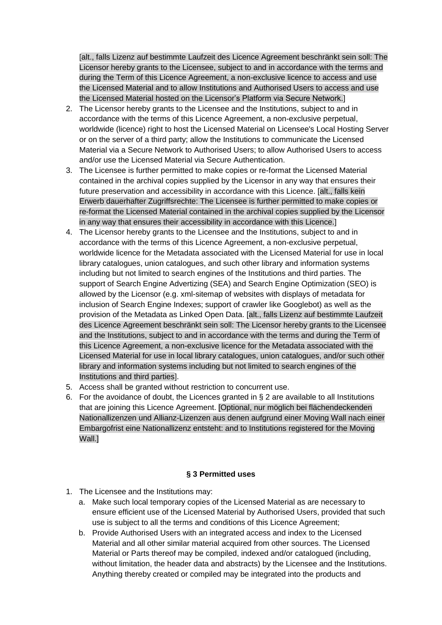[alt., falls Lizenz auf bestimmte Laufzeit des Licence Agreement beschränkt sein soll: The Licensor hereby grants to the Licensee, subject to and in accordance with the terms and during the Term of this Licence Agreement, a non-exclusive licence to access and use the Licensed Material and to allow Institutions and Authorised Users to access and use the Licensed Material hosted on the Licensor's Platform via Secure Network.]

- 2. The Licensor hereby grants to the Licensee and the Institutions, subject to and in accordance with the terms of this Licence Agreement, a non-exclusive perpetual, worldwide (licence) right to host the Licensed Material on Licensee's Local Hosting Server or on the server of a third party; allow the Institutions to communicate the Licensed Material via a Secure Network to Authorised Users; to allow Authorised Users to access and/or use the Licensed Material via Secure Authentication.
- 3. The Licensee is further permitted to make copies or re-format the Licensed Material contained in the archival copies supplied by the Licensor in any way that ensures their future preservation and accessibility in accordance with this Licence. [alt., falls kein Erwerb dauerhafter Zugriffsrechte: The Licensee is further permitted to make copies or re-format the Licensed Material contained in the archival copies supplied by the Licensor in any way that ensures their accessibility in accordance with this Licence.]
- 4. The Licensor hereby grants to the Licensee and the Institutions, subject to and in accordance with the terms of this Licence Agreement, a non-exclusive perpetual, worldwide licence for the Metadata associated with the Licensed Material for use in local library catalogues, union catalogues, and such other library and information systems including but not limited to search engines of the Institutions and third parties. The support of Search Engine Advertizing (SEA) and Search Engine Optimization (SEO) is allowed by the Licensor (e.g. xml-sitemap of websites with displays of metadata for inclusion of Search Engine Indexes; support of crawler like Googlebot) as well as the provision of the Metadata as Linked Open Data. [alt., falls Lizenz auf bestimmte Laufzeit des Licence Agreement beschränkt sein soll: The Licensor hereby grants to the Licensee and the Institutions, subject to and in accordance with the terms and during the Term of this Licence Agreement, a non-exclusive licence for the Metadata associated with the Licensed Material for use in local library catalogues, union catalogues, and/or such other library and information systems including but not limited to search engines of the Institutions and third parties].
- 5. Access shall be granted without restriction to concurrent use.
- 6. For the avoidance of doubt, the Licences granted in § 2 are available to all Institutions that are joining this Licence Agreement. [Optional, nur möglich bei flächendeckenden Nationallizenzen und Allianz-Lizenzen aus denen aufgrund einer Moving Wall nach einer Embargofrist eine Nationallizenz entsteht: and to Institutions registered for the Moving Wall.]

## **§ 3 Permitted uses**

- 1. The Licensee and the Institutions may:
	- a. Make such local temporary copies of the Licensed Material as are necessary to ensure efficient use of the Licensed Material by Authorised Users, provided that such use is subject to all the terms and conditions of this Licence Agreement;
	- b. Provide Authorised Users with an integrated access and index to the Licensed Material and all other similar material acquired from other sources. The Licensed Material or Parts thereof may be compiled, indexed and/or catalogued (including, without limitation, the header data and abstracts) by the Licensee and the Institutions. Anything thereby created or compiled may be integrated into the products and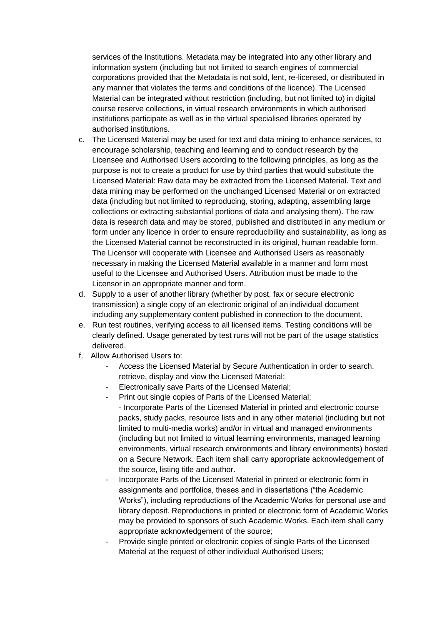services of the Institutions. Metadata may be integrated into any other library and information system (including but not limited to search engines of commercial corporations provided that the Metadata is not sold, lent, re-licensed, or distributed in any manner that violates the terms and conditions of the licence). The Licensed Material can be integrated without restriction (including, but not limited to) in digital course reserve collections, in virtual research environments in which authorised institutions participate as well as in the virtual specialised libraries operated by authorised institutions.

- c. The Licensed Material may be used for text and data mining to enhance services, to encourage scholarship, teaching and learning and to conduct research by the Licensee and Authorised Users according to the following principles, as long as the purpose is not to create a product for use by third parties that would substitute the Licensed Material: Raw data may be extracted from the Licensed Material. Text and data mining may be performed on the unchanged Licensed Material or on extracted data (including but not limited to reproducing, storing, adapting, assembling large collections or extracting substantial portions of data and analysing them). The raw data is research data and may be stored, published and distributed in any medium or form under any licence in order to ensure reproducibility and sustainability, as long as the Licensed Material cannot be reconstructed in its original, human readable form. The Licensor will cooperate with Licensee and Authorised Users as reasonably necessary in making the Licensed Material available in a manner and form most useful to the Licensee and Authorised Users. Attribution must be made to the Licensor in an appropriate manner and form.
- d. Supply to a user of another library (whether by post, fax or secure electronic transmission) a single copy of an electronic original of an individual document including any supplementary content published in connection to the document.
- e. Run test routines, verifying access to all licensed items. Testing conditions will be clearly defined. Usage generated by test runs will not be part of the usage statistics delivered.
- f. Allow Authorised Users to:
	- Access the Licensed Material by Secure Authentication in order to search, retrieve, display and view the Licensed Material;
	- Electronically save Parts of the Licensed Material;
	- Print out single copies of Parts of the Licensed Material;
	- Incorporate Parts of the Licensed Material in printed and electronic course packs, study packs, resource lists and in any other material (including but not limited to multi-media works) and/or in virtual and managed environments (including but not limited to virtual learning environments, managed learning environments, virtual research environments and library environments) hosted on a Secure Network. Each item shall carry appropriate acknowledgement of the source, listing title and author.
	- Incorporate Parts of the Licensed Material in printed or electronic form in assignments and portfolios, theses and in dissertations ("the Academic Works"), including reproductions of the Academic Works for personal use and library deposit. Reproductions in printed or electronic form of Academic Works may be provided to sponsors of such Academic Works. Each item shall carry appropriate acknowledgement of the source;
	- Provide single printed or electronic copies of single Parts of the Licensed Material at the request of other individual Authorised Users;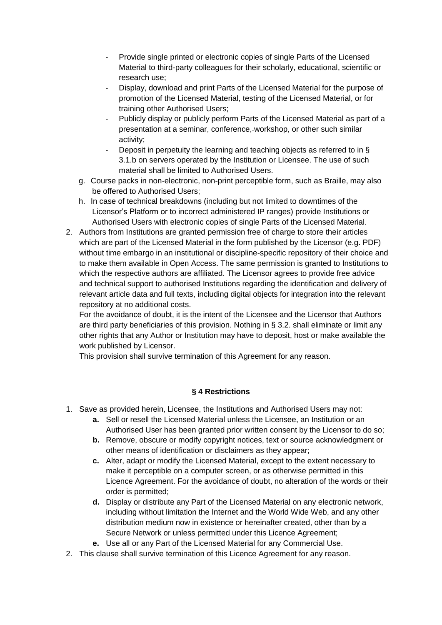- Provide single printed or electronic copies of single Parts of the Licensed Material to third-party colleagues for their scholarly, educational, scientific or research use;
- Display, download and print Parts of the Licensed Material for the purpose of promotion of the Licensed Material, testing of the Licensed Material, or for training other Authorised Users;
- Publicly display or publicly perform Parts of the Licensed Material as part of a presentation at a seminar, conference, workshop, or other such similar activity;
- Deposit in perpetuity the learning and teaching objects as referred to in § 3.1.b on servers operated by the Institution or Licensee. The use of such material shall be limited to Authorised Users.
- g. Course packs in non-electronic, non-print perceptible form, such as Braille, may also be offered to Authorised Users;
- h. In case of technical breakdowns (including but not limited to downtimes of the Licensor's Platform or to incorrect administered IP ranges) provide Institutions or Authorised Users with electronic copies of single Parts of the Licensed Material.
- 2. Authors from Institutions are granted permission free of charge to store their articles which are part of the Licensed Material in the form published by the Licensor (e.g. PDF) without time embargo in an institutional or discipline-specific repository of their choice and to make them available in Open Access. The same permission is granted to Institutions to which the respective authors are affiliated. The Licensor agrees to provide free advice and technical support to authorised Institutions regarding the identification and delivery of relevant article data and full texts, including digital objects for integration into the relevant repository at no additional costs.

For the avoidance of doubt, it is the intent of the Licensee and the Licensor that Authors are third party beneficiaries of this provision. Nothing in § 3.2. shall eliminate or limit any other rights that any Author or Institution may have to deposit, host or make available the work published by Licensor.

This provision shall survive termination of this Agreement for any reason.

## **§ 4 Restrictions**

- 1. Save as provided herein, Licensee, the Institutions and Authorised Users may not:
	- **a.** Sell or resell the Licensed Material unless the Licensee, an Institution or an Authorised User has been granted prior written consent by the Licensor to do so;
	- **b.** Remove, obscure or modify copyright notices, text or source acknowledgment or other means of identification or disclaimers as they appear;
	- **c.** Alter, adapt or modify the Licensed Material, except to the extent necessary to make it perceptible on a computer screen, or as otherwise permitted in this Licence Agreement. For the avoidance of doubt, no alteration of the words or their order is permitted;
	- **d.** Display or distribute any Part of the Licensed Material on any electronic network, including without limitation the Internet and the World Wide Web, and any other distribution medium now in existence or hereinafter created, other than by a Secure Network or unless permitted under this Licence Agreement:
	- **e.** Use all or any Part of the Licensed Material for any Commercial Use.
- 2. This clause shall survive termination of this Licence Agreement for any reason.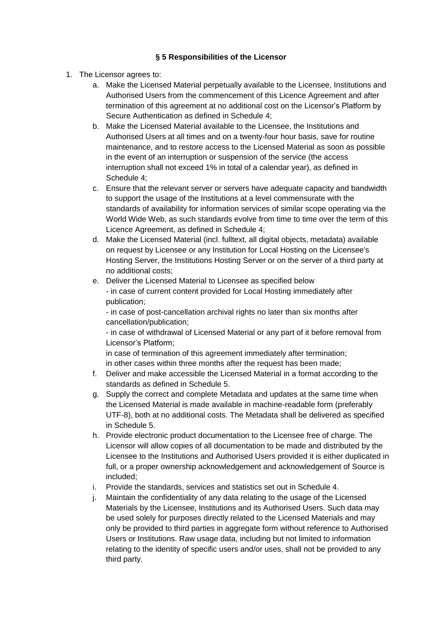## **§ 5 Responsibilities of the Licensor**

- 1. The Licensor agrees to:
	- a. Make the Licensed Material perpetually available to the Licensee, Institutions and Authorised Users from the commencement of this Licence Agreement and after termination of this agreement at no additional cost on the Licensor's Platform by Secure Authentication as defined in Schedule 4;
	- b. Make the Licensed Material available to the Licensee, the Institutions and Authorised Users at all times and on a twenty-four hour basis, save for routine maintenance, and to restore access to the Licensed Material as soon as possible in the event of an interruption or suspension of the service (the access interruption shall not exceed 1% in total of a calendar year), as defined in Schedule 4;
	- c. Ensure that the relevant server or servers have adequate capacity and bandwidth to support the usage of the Institutions at a level commensurate with the standards of availability for information services of similar scope operating via the World Wide Web, as such standards evolve from time to time over the term of this Licence Agreement, as defined in Schedule 4;
	- d. Make the Licensed Material (incl. fulltext, all digital objects, metadata) available on request by Licensee or any Institution for Local Hosting on the Licensee's Hosting Server, the Institutions Hosting Server or on the server of a third party at no additional costs;
	- e. Deliver the Licensed Material to Licensee as specified below - in case of current content provided for Local Hosting immediately after publication;

- in case of post-cancellation archival rights no later than six months after cancellation/publication;

- in case of withdrawal of Licensed Material or any part of it before removal from Licensor's Platform;

in case of termination of this agreement immediately after termination; in other cases within three months after the request has been made;

- f. Deliver and make accessible the Licensed Material in a format according to the standards as defined in Schedule 5.
- g. Supply the correct and complete Metadata and updates at the same time when the Licensed Material is made available in machine-readable form (preferably UTF-8), both at no additional costs. The Metadata shall be delivered as specified in Schedule 5.
- h. Provide electronic product documentation to the Licensee free of charge. The Licensor will allow copies of all documentation to be made and distributed by the Licensee to the Institutions and Authorised Users provided it is either duplicated in full, or a proper ownership acknowledgement and acknowledgement of Source is included;
- i. Provide the standards, services and statistics set out in Schedule 4.
- j. Maintain the confidentiality of any data relating to the usage of the Licensed Materials by the Licensee, Institutions and its Authorised Users. Such data may be used solely for purposes directly related to the Licensed Materials and may only be provided to third parties in aggregate form without reference to Authorised Users or Institutions. Raw usage data, including but not limited to information relating to the identity of specific users and/or uses, shall not be provided to any third party.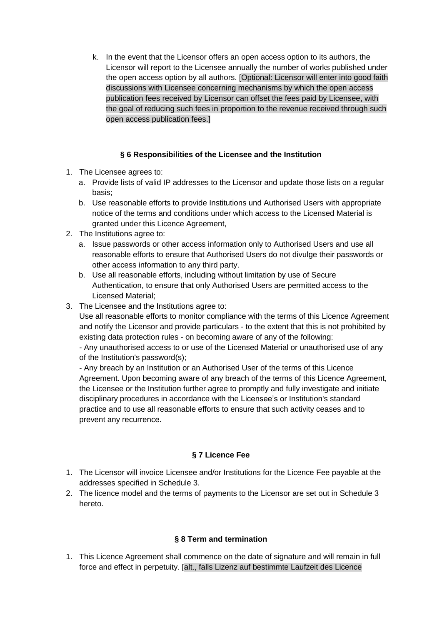k. In the event that the Licensor offers an open access option to its authors, the Licensor will report to the Licensee annually the number of works published under the open access option by all authors. [Optional: Licensor will enter into good faith discussions with Licensee concerning mechanisms by which the open access publication fees received by Licensor can offset the fees paid by Licensee, with the goal of reducing such fees in proportion to the revenue received through such open access publication fees.]

## **§ 6 Responsibilities of the Licensee and the Institution**

- 1. The Licensee agrees to:
	- a. Provide lists of valid IP addresses to the Licensor and update those lists on a regular basis;
	- b. Use reasonable efforts to provide Institutions und Authorised Users with appropriate notice of the terms and conditions under which access to the Licensed Material is granted under this Licence Agreement,
- 2. The Institutions agree to:
	- a. Issue passwords or other access information only to Authorised Users and use all reasonable efforts to ensure that Authorised Users do not divulge their passwords or other access information to any third party.
	- b. Use all reasonable efforts, including without limitation by use of Secure Authentication, to ensure that only Authorised Users are permitted access to the Licensed Material;
- 3. The Licensee and the Institutions agree to:

Use all reasonable efforts to monitor compliance with the terms of this Licence Agreement and notify the Licensor and provide particulars - to the extent that this is not prohibited by existing data protection rules - on becoming aware of any of the following:

- Any unauthorised access to or use of the Licensed Material or unauthorised use of any of the Institution's password(s);

- Any breach by an Institution or an Authorised User of the terms of this Licence Agreement. Upon becoming aware of any breach of the terms of this Licence Agreement, the Licensee or the Institution further agree to promptly and fully investigate and initiate disciplinary procedures in accordance with the Licensee's or Institution's standard practice and to use all reasonable efforts to ensure that such activity ceases and to prevent any recurrence.

## **§ 7 Licence Fee**

- 1. The Licensor will invoice Licensee and/or Institutions for the Licence Fee payable at the addresses specified in Schedule 3.
- 2. The licence model and the terms of payments to the Licensor are set out in Schedule 3 hereto.

## **§ 8 Term and termination**

1. This Licence Agreement shall commence on the date of signature and will remain in full force and effect in perpetuity. [alt., falls Lizenz auf bestimmte Laufzeit des Licence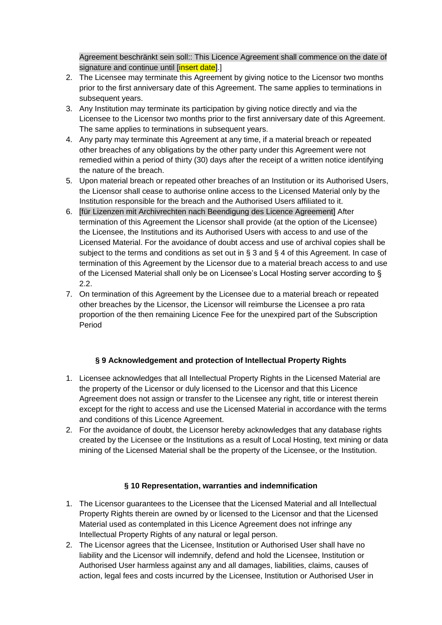Agreement beschränkt sein soll:: This Licence Agreement shall commence on the date of signature and continue until [insert date].]

- 2. The Licensee may terminate this Agreement by giving notice to the Licensor two months prior to the first anniversary date of this Agreement. The same applies to terminations in subsequent years.
- 3. Any Institution may terminate its participation by giving notice directly and via the Licensee to the Licensor two months prior to the first anniversary date of this Agreement. The same applies to terminations in subsequent years.
- 4. Any party may terminate this Agreement at any time, if a material breach or repeated other breaches of any obligations by the other party under this Agreement were not remedied within a period of thirty (30) days after the receipt of a written notice identifying the nature of the breach.
- 5. Upon material breach or repeated other breaches of an Institution or its Authorised Users, the Licensor shall cease to authorise online access to the Licensed Material only by the Institution responsible for the breach and the Authorised Users affiliated to it.
- 6. [für Lizenzen mit Archivrechten nach Beendigung des Licence Agreement] After termination of this Agreement the Licensor shall provide (at the option of the Licensee) the Licensee, the Institutions and its Authorised Users with access to and use of the Licensed Material. For the avoidance of doubt access and use of archival copies shall be subject to the terms and conditions as set out in § 3 and § 4 of this Agreement. In case of termination of this Agreement by the Licensor due to a material breach access to and use of the Licensed Material shall only be on Licensee's Local Hosting server according to § 2.2.
- 7. On termination of this Agreement by the Licensee due to a material breach or repeated other breaches by the Licensor, the Licensor will reimburse the Licensee a pro rata proportion of the then remaining Licence Fee for the unexpired part of the Subscription Period

## **§ 9 Acknowledgement and protection of Intellectual Property Rights**

- 1. Licensee acknowledges that all Intellectual Property Rights in the Licensed Material are the property of the Licensor or duly licensed to the Licensor and that this Licence Agreement does not assign or transfer to the Licensee any right, title or interest therein except for the right to access and use the Licensed Material in accordance with the terms and conditions of this Licence Agreement.
- 2. For the avoidance of doubt, the Licensor hereby acknowledges that any database rights created by the Licensee or the Institutions as a result of Local Hosting, text mining or data mining of the Licensed Material shall be the property of the Licensee, or the Institution.

## **§ 10 Representation, warranties and indemnification**

- 1. The Licensor guarantees to the Licensee that the Licensed Material and all Intellectual Property Rights therein are owned by or licensed to the Licensor and that the Licensed Material used as contemplated in this Licence Agreement does not infringe any Intellectual Property Rights of any natural or legal person.
- 2. The Licensor agrees that the Licensee, Institution or Authorised User shall have no liability and the Licensor will indemnify, defend and hold the Licensee, Institution or Authorised User harmless against any and all damages, liabilities, claims, causes of action, legal fees and costs incurred by the Licensee, Institution or Authorised User in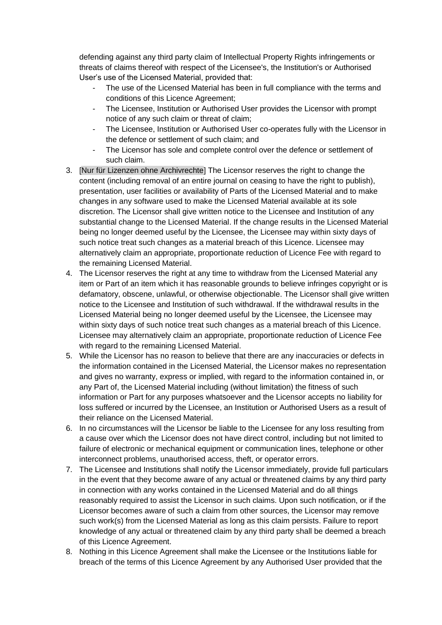defending against any third party claim of Intellectual Property Rights infringements or threats of claims thereof with respect of the Licensee's, the Institution's or Authorised User's use of the Licensed Material, provided that:

- The use of the Licensed Material has been in full compliance with the terms and conditions of this Licence Agreement;
- The Licensee, Institution or Authorised User provides the Licensor with prompt notice of any such claim or threat of claim;
- The Licensee, Institution or Authorised User co-operates fully with the Licensor in the defence or settlement of such claim; and
- The Licensor has sole and complete control over the defence or settlement of such claim.
- 3. [Nur für Lizenzen ohne Archivrechte] The Licensor reserves the right to change the content (including removal of an entire journal on ceasing to have the right to publish), presentation, user facilities or availability of Parts of the Licensed Material and to make changes in any software used to make the Licensed Material available at its sole discretion. The Licensor shall give written notice to the Licensee and Institution of any substantial change to the Licensed Material. If the change results in the Licensed Material being no longer deemed useful by the Licensee, the Licensee may within sixty days of such notice treat such changes as a material breach of this Licence. Licensee may alternatively claim an appropriate, proportionate reduction of Licence Fee with regard to the remaining Licensed Material.
- 4. The Licensor reserves the right at any time to withdraw from the Licensed Material any item or Part of an item which it has reasonable grounds to believe infringes copyright or is defamatory, obscene, unlawful, or otherwise objectionable. The Licensor shall give written notice to the Licensee and Institution of such withdrawal. If the withdrawal results in the Licensed Material being no longer deemed useful by the Licensee, the Licensee may within sixty days of such notice treat such changes as a material breach of this Licence. Licensee may alternatively claim an appropriate, proportionate reduction of Licence Fee with regard to the remaining Licensed Material.
- 5. While the Licensor has no reason to believe that there are any inaccuracies or defects in the information contained in the Licensed Material, the Licensor makes no representation and gives no warranty, express or implied, with regard to the information contained in, or any Part of, the Licensed Material including (without limitation) the fitness of such information or Part for any purposes whatsoever and the Licensor accepts no liability for loss suffered or incurred by the Licensee, an Institution or Authorised Users as a result of their reliance on the Licensed Material.
- 6. In no circumstances will the Licensor be liable to the Licensee for any loss resulting from a cause over which the Licensor does not have direct control, including but not limited to failure of electronic or mechanical equipment or communication lines, telephone or other interconnect problems, unauthorised access, theft, or operator errors.
- 7. The Licensee and Institutions shall notify the Licensor immediately, provide full particulars in the event that they become aware of any actual or threatened claims by any third party in connection with any works contained in the Licensed Material and do all things reasonably required to assist the Licensor in such claims. Upon such notification, or if the Licensor becomes aware of such a claim from other sources, the Licensor may remove such work(s) from the Licensed Material as long as this claim persists. Failure to report knowledge of any actual or threatened claim by any third party shall be deemed a breach of this Licence Agreement.
- 8. Nothing in this Licence Agreement shall make the Licensee or the Institutions liable for breach of the terms of this Licence Agreement by any Authorised User provided that the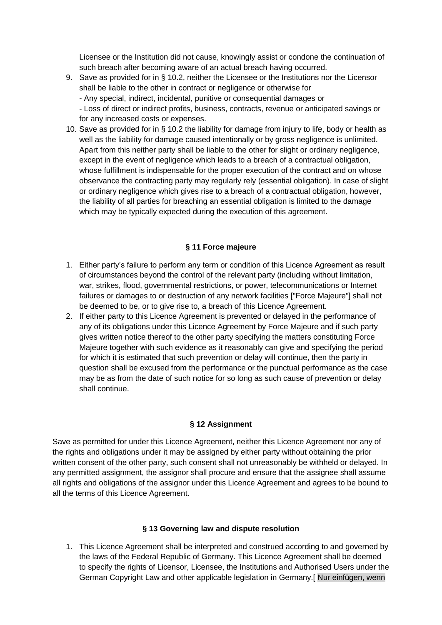Licensee or the Institution did not cause, knowingly assist or condone the continuation of such breach after becoming aware of an actual breach having occurred.

- 9. Save as provided for in § 10.2, neither the Licensee or the Institutions nor the Licensor shall be liable to the other in contract or negligence or otherwise for - Any special, indirect, incidental, punitive or consequential damages or - Loss of direct or indirect profits, business, contracts, revenue or anticipated savings or for any increased costs or expenses.
- 10. Save as provided for in § 10.2 the liability for damage from injury to life, body or health as well as the liability for damage caused intentionally or by gross negligence is unlimited. Apart from this neither party shall be liable to the other for slight or ordinary negligence, except in the event of negligence which leads to a breach of a contractual obligation, whose fulfillment is indispensable for the proper execution of the contract and on whose observance the contracting party may regularly rely (essential obligation). In case of slight or ordinary negligence which gives rise to a breach of a contractual obligation, however, the liability of all parties for breaching an essential obligation is limited to the damage which may be typically expected during the execution of this agreement.

## **§ 11 Force majeure**

- 1. Either party's failure to perform any term or condition of this Licence Agreement as result of circumstances beyond the control of the relevant party (including without limitation, war, strikes, flood, governmental restrictions, or power, telecommunications or Internet failures or damages to or destruction of any network facilities ["Force Majeure"] shall not be deemed to be, or to give rise to, a breach of this Licence Agreement.
- 2. If either party to this Licence Agreement is prevented or delayed in the performance of any of its obligations under this Licence Agreement by Force Majeure and if such party gives written notice thereof to the other party specifying the matters constituting Force Majeure together with such evidence as it reasonably can give and specifying the period for which it is estimated that such prevention or delay will continue, then the party in question shall be excused from the performance or the punctual performance as the case may be as from the date of such notice for so long as such cause of prevention or delay shall continue.

#### **§ 12 Assignment**

Save as permitted for under this Licence Agreement, neither this Licence Agreement nor any of the rights and obligations under it may be assigned by either party without obtaining the prior written consent of the other party, such consent shall not unreasonably be withheld or delayed. In any permitted assignment, the assignor shall procure and ensure that the assignee shall assume all rights and obligations of the assignor under this Licence Agreement and agrees to be bound to all the terms of this Licence Agreement.

#### **§ 13 Governing law and dispute resolution**

1. This Licence Agreement shall be interpreted and construed according to and governed by the laws of the Federal Republic of Germany. This Licence Agreement shall be deemed to specify the rights of Licensor, Licensee, the Institutions and Authorised Users under the German Copyright Law and other applicable legislation in Germany.[ Nur einfügen, wenn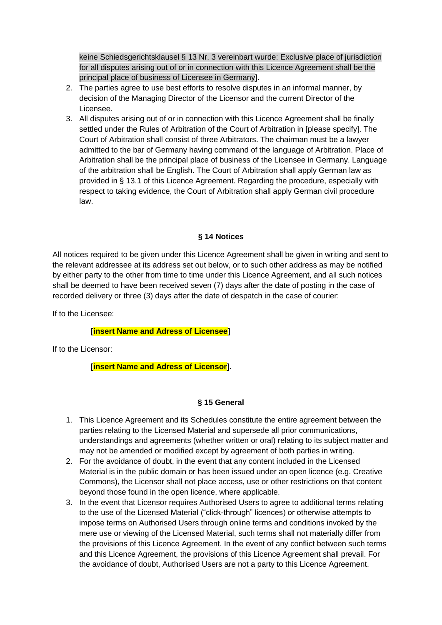keine Schiedsgerichtsklausel § 13 Nr. 3 vereinbart wurde: Exclusive place of jurisdiction for all disputes arising out of or in connection with this Licence Agreement shall be the principal place of business of Licensee in Germany].

- 2. The parties agree to use best efforts to resolve disputes in an informal manner, by decision of the Managing Director of the Licensor and the current Director of the Licensee.
- 3. All disputes arising out of or in connection with this Licence Agreement shall be finally settled under the Rules of Arbitration of the Court of Arbitration in [please specify]. The Court of Arbitration shall consist of three Arbitrators. The chairman must be a lawyer admitted to the bar of Germany having command of the language of Arbitration. Place of Arbitration shall be the principal place of business of the Licensee in Germany. Language of the arbitration shall be English. The Court of Arbitration shall apply German law as provided in § 13.1 of this Licence Agreement. Regarding the procedure, especially with respect to taking evidence, the Court of Arbitration shall apply German civil procedure law.

#### **§ 14 Notices**

All notices required to be given under this Licence Agreement shall be given in writing and sent to the relevant addressee at its address set out below, or to such other address as may be notified by either party to the other from time to time under this Licence Agreement, and all such notices shall be deemed to have been received seven (7) days after the date of posting in the case of recorded delivery or three (3) days after the date of despatch in the case of courier:

If to the Licensee:

#### **[insert Name and Adress of Licensee]**

If to the Licensor:

## **[insert Name and Adress of Licensor].**

## **§ 15 General**

- 1. This Licence Agreement and its Schedules constitute the entire agreement between the parties relating to the Licensed Material and supersede all prior communications, understandings and agreements (whether written or oral) relating to its subject matter and may not be amended or modified except by agreement of both parties in writing.
- 2. For the avoidance of doubt, in the event that any content included in the Licensed Material is in the public domain or has been issued under an open licence (e.g. Creative Commons), the Licensor shall not place access, use or other restrictions on that content beyond those found in the open licence, where applicable.
- 3. In the event that Licensor requires Authorised Users to agree to additional terms relating to the use of the Licensed Material ("click-through" licences) or otherwise attempts to impose terms on Authorised Users through online terms and conditions invoked by the mere use or viewing of the Licensed Material, such terms shall not materially differ from the provisions of this Licence Agreement. In the event of any conflict between such terms and this Licence Agreement, the provisions of this Licence Agreement shall prevail. For the avoidance of doubt, Authorised Users are not a party to this Licence Agreement.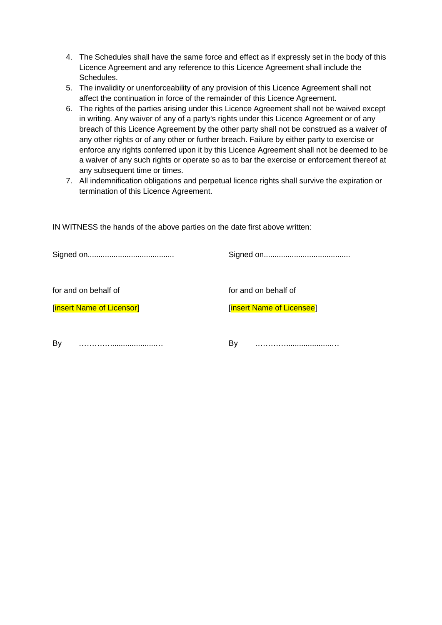- 4. The Schedules shall have the same force and effect as if expressly set in the body of this Licence Agreement and any reference to this Licence Agreement shall include the Schedules.
- 5. The invalidity or unenforceability of any provision of this Licence Agreement shall not affect the continuation in force of the remainder of this Licence Agreement.
- 6. The rights of the parties arising under this Licence Agreement shall not be waived except in writing. Any waiver of any of a party's rights under this Licence Agreement or of any breach of this Licence Agreement by the other party shall not be construed as a waiver of any other rights or of any other or further breach. Failure by either party to exercise or enforce any rights conferred upon it by this Licence Agreement shall not be deemed to be a waiver of any such rights or operate so as to bar the exercise or enforcement thereof at any subsequent time or times.
- 7. All indemnification obligations and perpetual licence rights shall survive the expiration or termination of this Licence Agreement.

IN WITNESS the hands of the above parties on the date first above written:

| for and on behalf of      | for and on behalf of             |
|---------------------------|----------------------------------|
| [insert Name of Licensor] | <b>[insert Name of Licensee]</b> |
| By                        | B٧                               |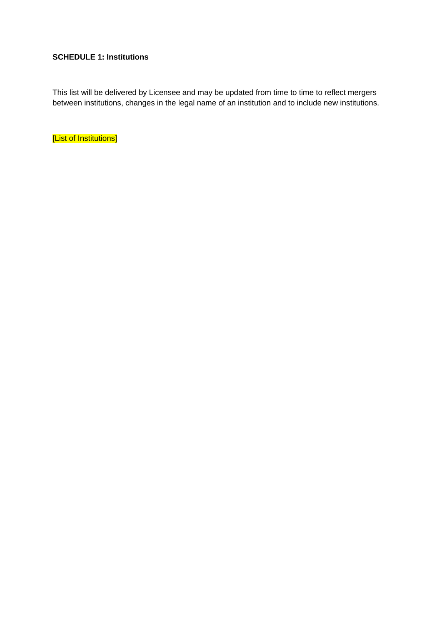## **SCHEDULE 1: Institutions**

This list will be delivered by Licensee and may be updated from time to time to reflect mergers between institutions, changes in the legal name of an institution and to include new institutions.

[List of Institutions]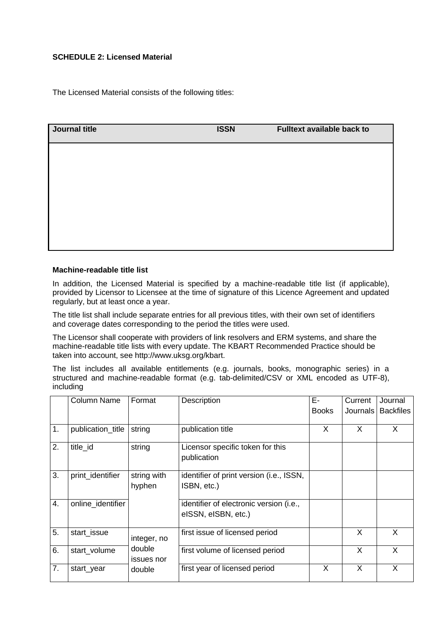## **SCHEDULE 2: Licensed Material**

The Licensed Material consists of the following titles:

| Journal title | <b>ISSN</b> | Fulltext available back to |
|---------------|-------------|----------------------------|
|               |             |                            |
|               |             |                            |
|               |             |                            |
|               |             |                            |
|               |             |                            |

#### **Machine-readable title list**

In addition, the Licensed Material is specified by a machine-readable title list (if applicable), provided by Licensor to Licensee at the time of signature of this Licence Agreement and updated regularly, but at least once a year.

The title list shall include separate entries for all previous titles, with their own set of identifiers and coverage dates corresponding to the period the titles were used.

The Licensor shall cooperate with providers of link resolvers and ERM systems, and share the machine-readable title lists with every update. The KBART Recommended Practice should be taken into account, see http://www.uksg.org/kbart.

The list includes all available entitlements (e.g. journals, books, monographic series) in a structured and machine-readable format (e.g. tab-delimited/CSV or XML encoded as UTF-8), including

|    | Column Name       | Format      | Description                              | Е-           | Current    | Journal          |
|----|-------------------|-------------|------------------------------------------|--------------|------------|------------------|
|    |                   |             |                                          | <b>Books</b> | Journals l | <b>Backfiles</b> |
|    |                   |             |                                          |              |            |                  |
| 1. | publication_title | string      | publication title                        | X            | X          | X                |
| 2. | title_id          | string      | Licensor specific token for this         |              |            |                  |
|    |                   |             | publication                              |              |            |                  |
|    |                   |             |                                          |              |            |                  |
| 3. | print_identifier  | string with | identifier of print version (i.e., ISSN, |              |            |                  |
|    |                   | hyphen      | ISBN, etc.)                              |              |            |                  |
|    |                   |             |                                          |              |            |                  |
| 4. | online_identifier |             | identifier of electronic version (i.e.,  |              |            |                  |
|    |                   |             | eISSN, eISBN, etc.)                      |              |            |                  |
|    |                   |             |                                          |              |            |                  |
| 5. | start_issue       | integer, no | first issue of licensed period           |              | X          | X                |
| 6. | start_volume      | double      | first volume of licensed period          |              | X          | X                |
|    |                   | issues nor  |                                          |              |            |                  |
| 7. | start_year        | double      | first year of licensed period            | X            | X          | X                |
|    |                   |             |                                          |              |            |                  |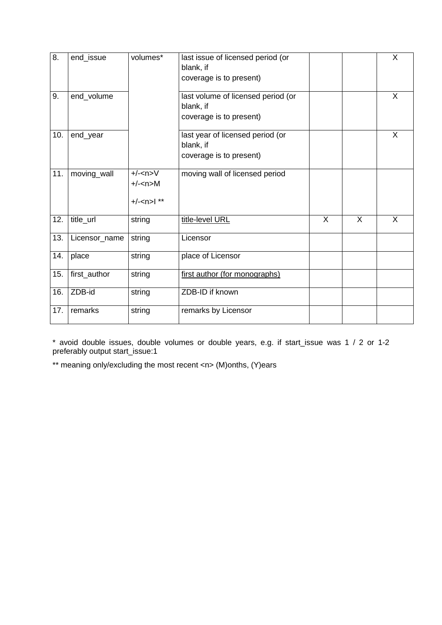| $\overline{8}$ . | end_issue     | volumes*                                    | last issue of licensed period (or<br>blank, if<br>coverage is to present)  |                |                | X |
|------------------|---------------|---------------------------------------------|----------------------------------------------------------------------------|----------------|----------------|---|
| 9.               | end_volume    |                                             | last volume of licensed period (or<br>blank, if<br>coverage is to present) |                |                | X |
| 10.              | end_year      |                                             | last year of licensed period (or<br>blank, if<br>coverage is to present)   |                |                | X |
| 11.              | moving_wall   | $+/-<$ n>V<br>$+/-<$ n>M<br>$+/- < n>$   ** | moving wall of licensed period                                             |                |                |   |
| 12.              | title_url     | string                                      | title-level URL                                                            | $\overline{X}$ | $\overline{X}$ | X |
| 13.              | Licensor_name | string                                      | Licensor                                                                   |                |                |   |
| 14.              | place         | string                                      | place of Licensor                                                          |                |                |   |
| 15.              | first_author  | string                                      | first author (for monographs)                                              |                |                |   |
| 16.              | ZDB-id        | string                                      | ZDB-ID if known                                                            |                |                |   |
| 17.              | remarks       | string                                      | remarks by Licensor                                                        |                |                |   |

\* avoid double issues, double volumes or double years, e.g. if start\_issue was 1 / 2 or 1-2 preferably output start\_issue:1

\*\* meaning only/excluding the most recent <n> (M)onths, (Y)ears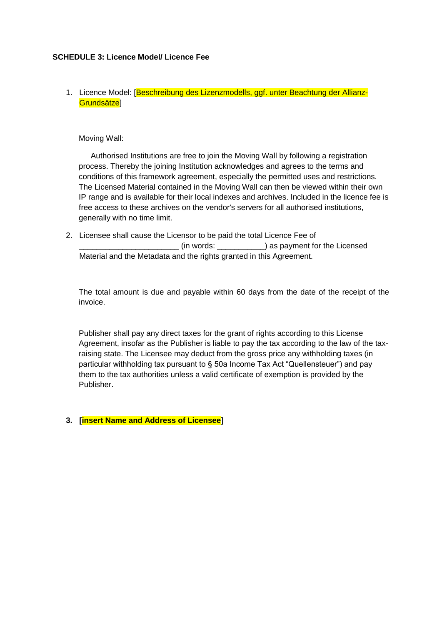#### **SCHEDULE 3: Licence Model/ Licence Fee**

## 1. Licence Model: [Beschreibung des Lizenzmodells, ggf. unter Beachtung der Allianz-Grundsätze]

#### Moving Wall:

Authorised Institutions are free to join the Moving Wall by following a registration process. Thereby the joining Institution acknowledges and agrees to the terms and conditions of this framework agreement, especially the permitted uses and restrictions. The Licensed Material contained in the Moving Wall can then be viewed within their own IP range and is available for their local indexes and archives. Included in the licence fee is free access to these archives on the vendor's servers for all authorised institutions, generally with no time limit.

2. Licensee shall cause the Licensor to be paid the total Licence Fee of (in words: \_\_\_\_\_\_\_\_\_\_\_\_\_) as payment for the Licensed Material and the Metadata and the rights granted in this Agreement.

The total amount is due and payable within 60 days from the date of the receipt of the invoice.

Publisher shall pay any direct taxes for the grant of rights according to this License Agreement, insofar as the Publisher is liable to pay the tax according to the law of the taxraising state. The Licensee may deduct from the gross price any withholding taxes (in particular withholding tax pursuant to § 50a Income Tax Act "Quellensteuer") and pay them to the tax authorities unless a valid certificate of exemption is provided by the Publisher.

## **3. [insert Name and Address of Licensee]**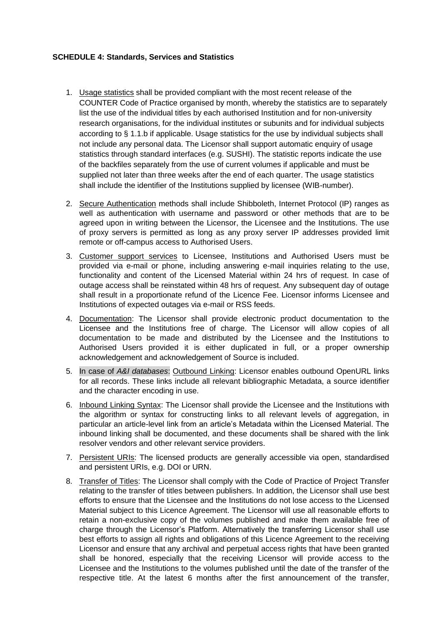#### **SCHEDULE 4: Standards, Services and Statistics**

- 1. Usage statistics shall be provided compliant with the most recent release of the COUNTER Code of Practice organised by month, whereby the statistics are to separately list the use of the individual titles by each authorised Institution and for non-university research organisations, for the individual institutes or subunits and for individual subjects according to § 1.1.b if applicable. Usage statistics for the use by individual subjects shall not include any personal data. The Licensor shall support automatic enquiry of usage statistics through standard interfaces (e.g. SUSHI). The statistic reports indicate the use of the backfiles separately from the use of current volumes if applicable and must be supplied not later than three weeks after the end of each quarter. The usage statistics shall include the identifier of the Institutions supplied by licensee (WIB-number).
- 2. Secure Authentication methods shall include Shibboleth, Internet Protocol (IP) ranges as well as authentication with username and password or other methods that are to be agreed upon in writing between the Licensor, the Licensee and the Institutions. The use of proxy servers is permitted as long as any proxy server IP addresses provided limit remote or off-campus access to Authorised Users.
- 3. Customer support services to Licensee, Institutions and Authorised Users must be provided via e-mail or phone, including answering e-mail inquiries relating to the use, functionality and content of the Licensed Material within 24 hrs of request. In case of outage access shall be reinstated within 48 hrs of request. Any subsequent day of outage shall result in a proportionate refund of the Licence Fee. Licensor informs Licensee and Institutions of expected outages via e-mail or RSS feeds.
- 4. Documentation: The Licensor shall provide electronic product documentation to the Licensee and the Institutions free of charge. The Licensor will allow copies of all documentation to be made and distributed by the Licensee and the Institutions to Authorised Users provided it is either duplicated in full, or a proper ownership acknowledgement and acknowledgement of Source is included.
- 5. In case of *A&I databases*: Outbound Linking: Licensor enables outbound OpenURL links for all records. These links include all relevant bibliographic Metadata, a source identifier and the character encoding in use.
- 6. Inbound Linking Syntax: The Licensor shall provide the Licensee and the Institutions with the algorithm or syntax for constructing links to all relevant levels of aggregation, in particular an article-level link from an article's Metadata within the Licensed Material. The inbound linking shall be documented, and these documents shall be shared with the link resolver vendors and other relevant service providers.
- 7. Persistent URIs: The licensed products are generally accessible via open, standardised and persistent URIs, e.g. DOI or URN.
- 8. Transfer of Titles: The Licensor shall comply with the Code of Practice of Project Transfer relating to the transfer of titles between publishers. In addition, the Licensor shall use best efforts to ensure that the Licensee and the Institutions do not lose access to the Licensed Material subject to this Licence Agreement. The Licensor will use all reasonable efforts to retain a non-exclusive copy of the volumes published and make them available free of charge through the Licensor's Platform. Alternatively the transferring Licensor shall use best efforts to assign all rights and obligations of this Licence Agreement to the receiving Licensor and ensure that any archival and perpetual access rights that have been granted shall be honored, especially that the receiving Licensor will provide access to the Licensee and the Institutions to the volumes published until the date of the transfer of the respective title. At the latest 6 months after the first announcement of the transfer,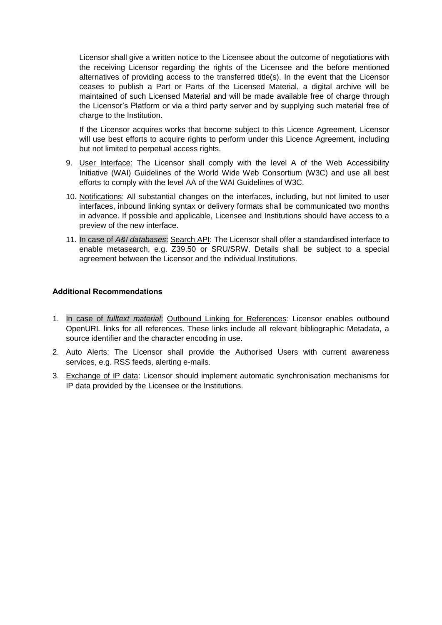Licensor shall give a written notice to the Licensee about the outcome of negotiations with the receiving Licensor regarding the rights of the Licensee and the before mentioned alternatives of providing access to the transferred title(s). In the event that the Licensor ceases to publish a Part or Parts of the Licensed Material, a digital archive will be maintained of such Licensed Material and will be made available free of charge through the Licensor's Platform or via a third party server and by supplying such material free of charge to the Institution.

If the Licensor acquires works that become subject to this Licence Agreement, Licensor will use best efforts to acquire rights to perform under this Licence Agreement, including but not limited to perpetual access rights.

- 9. User Interface: The Licensor shall comply with the level A of the Web Accessibility Initiative (WAI) Guidelines of the World Wide Web Consortium (W3C) and use all best efforts to comply with the level AA of the WAI Guidelines of W3C.
- 10. Notifications: All substantial changes on the interfaces, including, but not limited to user interfaces, inbound linking syntax or delivery formats shall be communicated two months in advance. If possible and applicable, Licensee and Institutions should have access to a preview of the new interface.
- 11. In case of *A&I databases*: Search API: The Licensor shall offer a standardised interface to enable metasearch, e.g. Z39.50 or SRU/SRW. Details shall be subject to a special agreement between the Licensor and the individual Institutions.

#### **Additional Recommendations**

- 1. In case of *fulltext material*: Outbound Linking for References*:* Licensor enables outbound OpenURL links for all references. These links include all relevant bibliographic Metadata, a source identifier and the character encoding in use.
- 2. Auto Alerts: The Licensor shall provide the Authorised Users with current awareness services, e.g. RSS feeds, alerting e-mails.
- 3. Exchange of IP data: Licensor should implement automatic synchronisation mechanisms for IP data provided by the Licensee or the Institutions.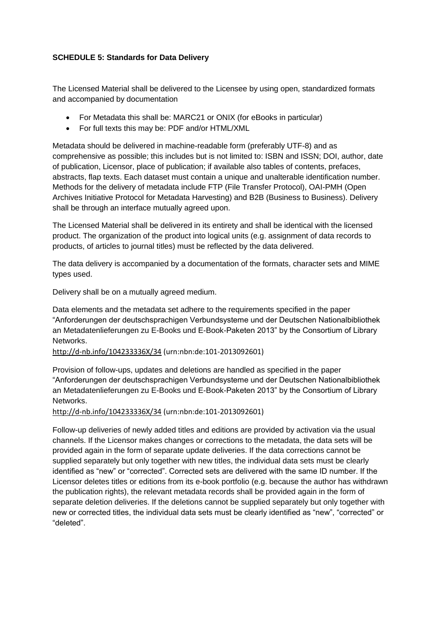## **SCHEDULE 5: Standards for Data Delivery**

The Licensed Material shall be delivered to the Licensee by using open, standardized formats and accompanied by documentation

- For Metadata this shall be: MARC21 or ONIX (for eBooks in particular)
- For full texts this may be: PDF and/or HTML/XML

Metadata should be delivered in machine-readable form (preferably UTF-8) and as comprehensive as possible; this includes but is not limited to: ISBN and ISSN; DOI, author, date of publication, Licensor, place of publication; if available also tables of contents, prefaces, abstracts, flap texts. Each dataset must contain a unique and unalterable identification number. Methods for the delivery of metadata include FTP (File Transfer Protocol), OAI-PMH (Open Archives Initiative Protocol for Metadata Harvesting) and B2B (Business to Business). Delivery shall be through an interface mutually agreed upon.

The Licensed Material shall be delivered in its entirety and shall be identical with the licensed product. The organization of the product into logical units (e.g. assignment of data records to products, of articles to journal titles) must be reflected by the data delivered.

The data delivery is accompanied by a documentation of the formats, character sets and MIME types used.

Delivery shall be on a mutually agreed medium.

Data elements and the metadata set adhere to the requirements specified in the paper "Anforderungen der deutschsprachigen Verbundsysteme und der Deutschen Nationalbibliothek an Metadatenlieferungen zu E-Books und E-Book-Paketen 2013" by the Consortium of Library Networks.

<http://d-nb.info/104233336X/34> (urn:nbn:de:101-2013092601)

Provision of follow-ups, updates and deletions are handled as specified in the paper "Anforderungen der deutschsprachigen Verbundsysteme und der Deutschen Nationalbibliothek an Metadatenlieferungen zu E-Books und E-Book-Paketen 2013" by the Consortium of Library **Networks** 

#### <http://d-nb.info/104233336X/34> (urn:nbn:de:101-2013092601)

Follow-up deliveries of newly added titles and editions are provided by activation via the usual channels. If the Licensor makes changes or corrections to the metadata, the data sets will be provided again in the form of separate update deliveries. If the data corrections cannot be supplied separately but only together with new titles, the individual data sets must be clearly identified as "new" or "corrected". Corrected sets are delivered with the same ID number. If the Licensor deletes titles or editions from its e-book portfolio (e.g. because the author has withdrawn the publication rights), the relevant metadata records shall be provided again in the form of separate deletion deliveries. If the deletions cannot be supplied separately but only together with new or corrected titles, the individual data sets must be clearly identified as "new", "corrected" or "deleted".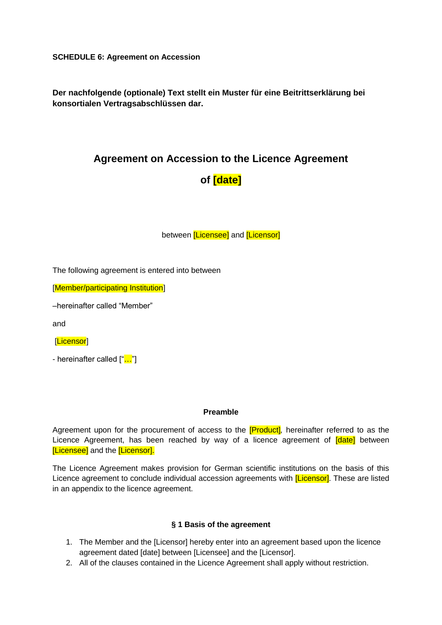**SCHEDULE 6: Agreement on Accession**

**Der nachfolgende (optionale) Text stellt ein Muster für eine Beitrittserklärung bei konsortialen Vertragsabschlüssen dar.**

## **Agreement on Accession to the Licence Agreement**

# **of [date]**

between [Licensee] and [Licensor]

The following agreement is entered into between

[Member/participating Institution]

–hereinafter called "Member"

and

[Licensor]

- hereinafter called ["..."]

#### **Preamble**

Agreement upon for the procurement of access to the [Product]*,* hereinafter referred to as the Licence Agreement, has been reached by way of a licence agreement of **[date]** between [Licensee] and the [Licensor].

The Licence Agreement makes provision for German scientific institutions on the basis of this Licence agreement to conclude individual accession agreements with *[Licensor]*. These are listed in an appendix to the licence agreement.

## **§ 1 Basis of the agreement**

- 1. The Member and the [Licensor] hereby enter into an agreement based upon the licence agreement dated [date] between [Licensee] and the [Licensor].
- 2. All of the clauses contained in the Licence Agreement shall apply without restriction.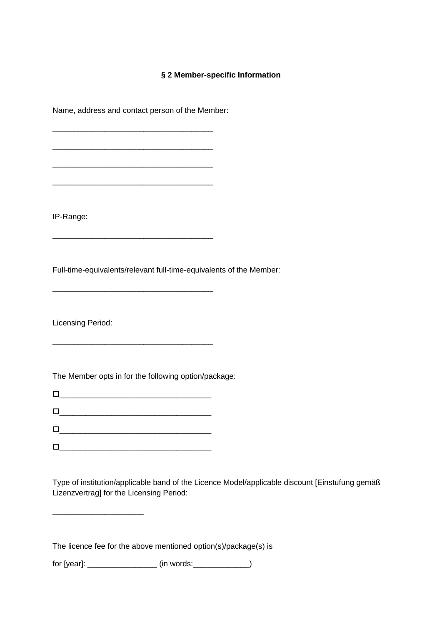## **§ 2 Member-specific Information**

Name, address and contact person of the Member: \_\_\_\_\_\_\_\_\_\_\_\_\_\_\_\_\_\_\_\_\_\_\_\_\_\_\_\_\_\_\_\_\_\_\_\_\_ \_\_\_\_\_\_\_\_\_\_\_\_\_\_\_\_\_\_\_\_\_\_\_\_\_\_\_\_\_\_\_\_\_\_\_\_\_ \_\_\_\_\_\_\_\_\_\_\_\_\_\_\_\_\_\_\_\_\_\_\_\_\_\_\_\_\_\_\_\_\_\_\_\_\_

\_\_\_\_\_\_\_\_\_\_\_\_\_\_\_\_\_\_\_\_\_\_\_\_\_\_\_\_\_\_\_\_\_\_\_\_\_

\_\_\_\_\_\_\_\_\_\_\_\_\_\_\_\_\_\_\_\_\_\_\_\_\_\_\_\_\_\_\_\_\_\_\_\_\_

\_\_\_\_\_\_\_\_\_\_\_\_\_\_\_\_\_\_\_\_\_\_\_\_\_\_\_\_\_\_\_\_\_\_\_\_\_

\_\_\_\_\_\_\_\_\_\_\_\_\_\_\_\_\_\_\_\_\_\_\_\_\_\_\_\_\_\_\_\_\_\_\_\_\_

IP-Range:

Full-time-equivalents/relevant full-time-equivalents of the Member:

Licensing Period:

The Member opts in for the following option/package:

\_\_\_\_\_\_\_\_\_\_\_\_\_\_\_\_\_\_\_\_\_\_\_\_\_\_\_\_\_\_\_\_\_\_\_

\_\_\_\_\_\_\_\_\_\_\_\_\_\_\_\_\_\_\_\_\_\_\_\_\_\_\_\_\_\_\_\_\_\_\_

\_\_\_\_\_\_\_\_\_\_\_\_\_\_\_\_\_\_\_\_\_\_\_\_\_\_\_\_\_\_\_\_\_\_\_

 $\Box$ 

\_\_\_\_\_\_\_\_\_\_\_\_\_\_\_\_\_\_\_\_\_

Type of institution/applicable band of the Licence Model/applicable discount [Einstufung gemäß Lizenzvertrag] for the Licensing Period:

The licence fee for the above mentioned option(s)/package(s) is

for  $[year]:$   $(in words:$   $()$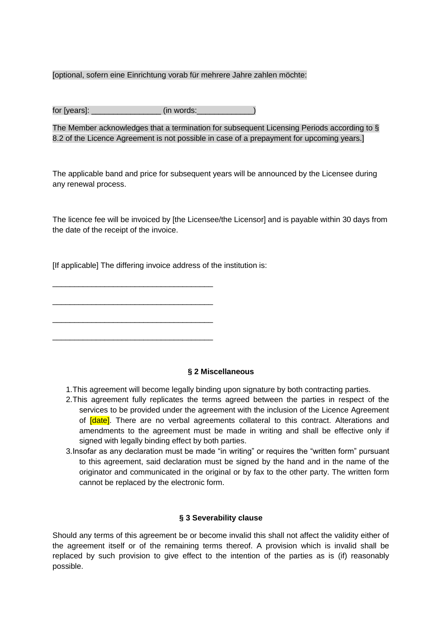#### [optional, sofern eine Einrichtung vorab für mehrere Jahre zahlen möchte:

| for [years]: | (in words: |
|--------------|------------|
|--------------|------------|

The Member acknowledges that a termination for subsequent Licensing Periods according to § 8.2 of the Licence Agreement is not possible in case of a prepayment for upcoming years.]

The applicable band and price for subsequent years will be announced by the Licensee during any renewal process.

The licence fee will be invoiced by [the Licensee/the Licensor] and is payable within 30 days from the date of the receipt of the invoice.

[If applicable] The differing invoice address of the institution is:

\_\_\_\_\_\_\_\_\_\_\_\_\_\_\_\_\_\_\_\_\_\_\_\_\_\_\_\_\_\_\_\_\_\_\_\_\_

\_\_\_\_\_\_\_\_\_\_\_\_\_\_\_\_\_\_\_\_\_\_\_\_\_\_\_\_\_\_\_\_\_\_\_\_\_

\_\_\_\_\_\_\_\_\_\_\_\_\_\_\_\_\_\_\_\_\_\_\_\_\_\_\_\_\_\_\_\_\_\_\_\_\_

\_\_\_\_\_\_\_\_\_\_\_\_\_\_\_\_\_\_\_\_\_\_\_\_\_\_\_\_\_\_\_\_\_\_\_\_\_

**§ 2 Miscellaneous**

- 1.This agreement will become legally binding upon signature by both contracting parties.
- 2.This agreement fully replicates the terms agreed between the parties in respect of the services to be provided under the agreement with the inclusion of the Licence Agreement of **[date]**. There are no verbal agreements collateral to this contract. Alterations and amendments to the agreement must be made in writing and shall be effective only if signed with legally binding effect by both parties.
- 3.Insofar as any declaration must be made "in writing" or requires the "written form" pursuant to this agreement, said declaration must be signed by the hand and in the name of the originator and communicated in the original or by fax to the other party. The written form cannot be replaced by the electronic form.

#### **§ 3 Severability clause**

Should any terms of this agreement be or become invalid this shall not affect the validity either of the agreement itself or of the remaining terms thereof. A provision which is invalid shall be replaced by such provision to give effect to the intention of the parties as is (if) reasonably possible.